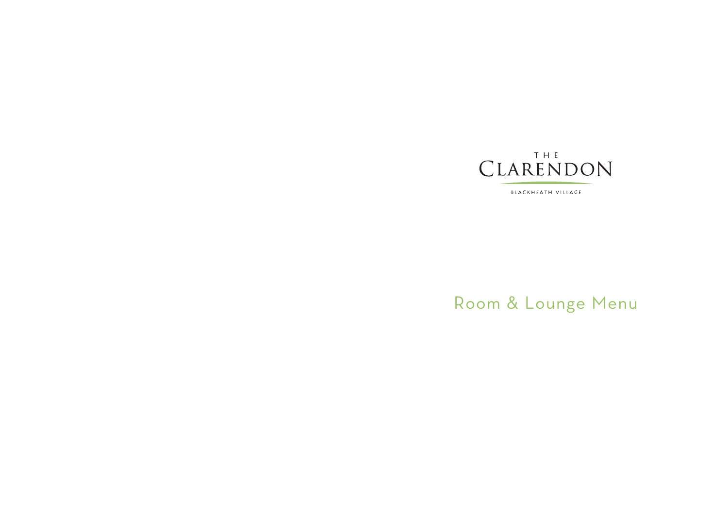## T H E CLARENDON

BLACKHEATH VILLAGE

# Room & Lounge Menu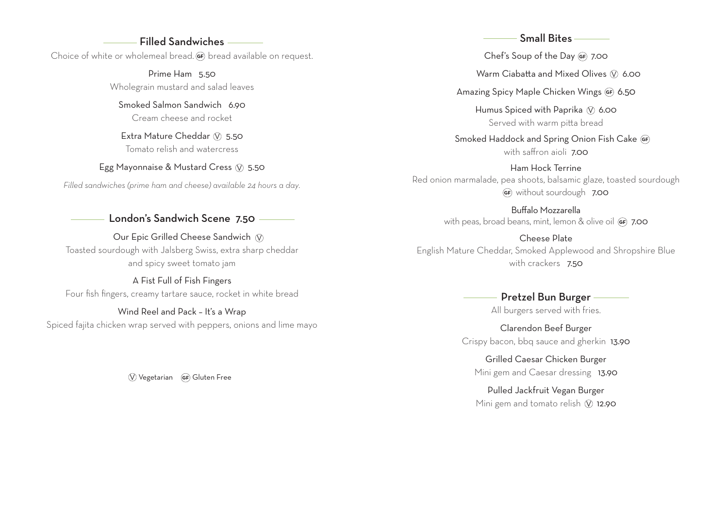### Filled Sandwiches

Choice of white or wholemeal bread. **GF** bread available on request.

Prime Ham 5.50 Wholegrain mustard and salad leaves

Smoked Salmon Sandwich 6.90 Cream cheese and rocket

Extra Mature Cheddar  $\circledN$  5.50 Tomato relish and watercress

Egg Mayonnaise & Mustard Cress  $\circledN$  5.50

*Filled sandwiches (prime ham and cheese) available 24 hours a day.*

London's Sandwich Scene 7.50

Our Epic Grilled Cheese Sandwich  $\,\mathbb Q\,$ Toasted sourdough with Jalsberg Swiss, extra sharp cheddar and spicy sweet tomato jam

A Fist Full of Fish Fingers Four fish fingers, creamy tartare sauce, rocket in white bread

Wind Reel and Pack – It's a Wrap Spiced fajita chicken wrap served with peppers, onions and lime mayo

 $\overline{V}$  Vegetarian  $\overline{G}$  Gluten Free

#### Small Bites

Chef's Soup of the Day GF 7.00

Warm Ciabatta and Mixed Olives  $\mathbb O$  6.00

Amazing Spicy Maple Chicken Wings GF 6.50

Humus Spiced with Paprika  $\circledN$  6.00 Served with warm pitta bread

Smoked Haddock and Spring Onion Fish Cake GF) with saffron aioli **7.00** 

Ham Hock Terrine Red onion marmalade, pea shoots, balsamic glaze, toasted sourdough GF without sourdough 7.00

> Buffalo Mozzarella with peas, broad beans, mint, lemon & olive oil (F) 7.00

Cheese Plate English Mature Cheddar, Smoked Applewood and Shropshire Blue with crackers **7.50** 

### - Pretzel Bun Burger -

All burgers served with fries.

Clarendon Beef Burger Crispy bacon, bbq sauce and gherkin 13.90

Grilled Caesar Chicken Burger Mini gem and Caesar dressing 13.90

Pulled Jackfruit Vegan Burger Mini gem and tomato relish  $\oslash$  12.90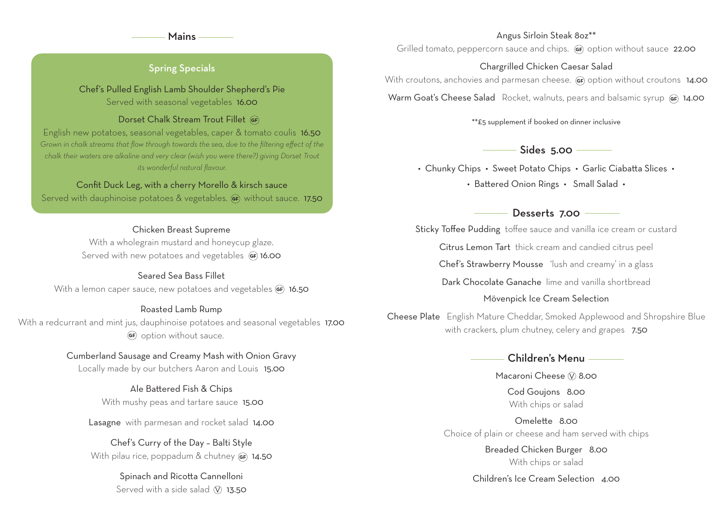#### Mains

#### Angus Sirloin Steak 8oz\*\*

Grilled tomato, peppercorn sauce and chips. (F) option without sauce 22.00

#### Chargrilled Chicken Caesar Salad

With croutons, anchovies and parmesan cheese. (a) option without croutons **14.00** 

Warm Goat's Cheese Salad Rocket, walnuts, pears and balsamic syrup14.00

\*\*£5 supplement if booked on dinner inclusive

Sides 5.00 –

• Chunky Chips • Sweet Potato Chips • Garlic Ciabatta Slices • • Battered Onion Rings • Small Salad •

Desserts 7.00

Sticky Toffee Pudding toffee sauce and vanilla ice cream or custard

Citrus Lemon Tart thick cream and candied citrus peel

Chef's Strawberry Mousse 'lush and creamy' in a glass

Dark Chocolate Ganache lime and vanilla shortbread

#### Mövenpick Ice Cream Selection

Cheese Plate English Mature Cheddar, Smoked Applewood and Shropshire Blue with crackers, plum chutney, celery and grapes7.50

### Children's Menu

Macaroni Cheese  $\circledN$  8.00

Cod Goujons 8.00 With chips or salad

Omelette 8.00 Choice of plain or cheese and ham served with chips

> Breaded Chicken Burger 8.00 With chips or salad

Children's Ice Cream Selection 4.00

### Spring Specials

Chef's Pulled English Lamb Shoulder Shepherd's Pie Served with seasonal vegetables 16.00

#### Dorset Chalk Stream Trout Fillet GF)

English new potatoes, seasonal vegetables, caper & tomato coulis 16.50 *Grown in chalk streams that flow through towards the sea, due to the filtering effect of the chalk their waters are alkaline and very clear (wish you were there?) giving Dorset Trout its wonderful natural flavour.*

#### Confit Duck Leg, with a cherry Morello & kirsch sauce

Served with dauphinoise potatoes & vegetables. (a) without sauce. 17.50

#### Chicken Breast Supreme

With a wholegrain mustard and honeycup glaze. Served with new potatoes and vegetables (GF) 16.00

#### Seared Sea Bass Fillet

With a lemon caper sauce, new potatoes and vegetables  $GF$  16.50

#### Roasted Lamb Rump

With a redcurrant and mint jus, dauphinoise potatoes and seasonal vegetables 17.00 GF) option without sauce.

#### Cumberland Sausage and Creamy Mash with Onion Gravy

Locally made by our butchers Aaron and Louis15.00

#### Ale Battered Fish & Chips With mushy peas and tartare sauce 15.00

Lasagne with parmesan and rocket salad 14.00

Chef's Curry of the Day – Balti Style With pilau rice, poppadum & chutney **GF**) 14.50

### Spinach and Ricotta Cannelloni Served with a side salad  $\circ$  13.50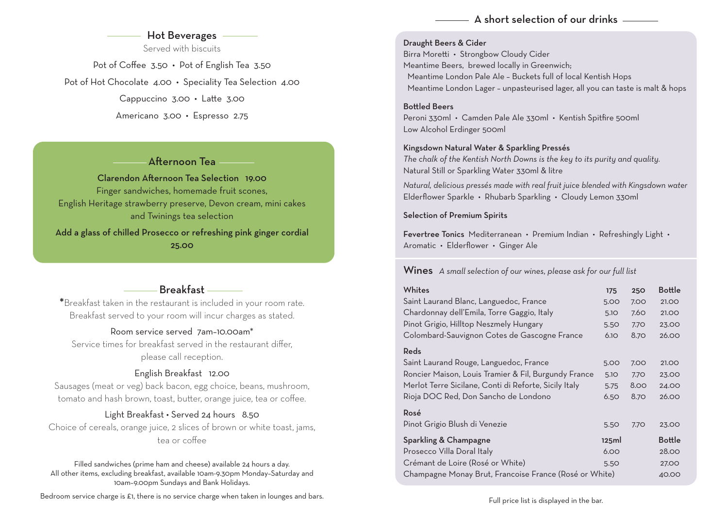### $\Delta$  short selection of our drinks  $\equiv$

### - Hot Beverages

Served with biscuits

Pot of Coffee 3.50 • Pot of English Tea 3.50 Pot of Hot Chocolate 4.00 • Speciality Tea Selection 4.00 Cappuccino 3.00 • Latte 3.00 Americano 3.00 • Espresso 2.75

Afternoon Tea

Clarendon Afternoon Tea Selection 19.00 Finger sandwiches, homemade fruit scones, English Heritage strawberry preserve, Devon cream, mini cakes and Twinings tea selection

Add a glass of chilled Prosecco or refreshing pink ginger cordial 25.00

### Breakfast

\*Breakfast taken in the restaurant is included in your room rate. Breakfast served to your room will incur charges as stated.

### Room service served 7am–10.00am\*

Service times for breakfast served in the restaurant differ, please call reception.

### English Breakfast 12.00

Sausages (meat or veg) back bacon, egg choice, beans, mushroom, tomato and hash brown, toast, butter, orange juice, tea or coffee.

### Light Breakfast • Served 24 hours 8.50

Choice of cereals, orange juice, 2 slices of brown or white toast, jams, tea or coffee

Filled sandwiches (prime ham and cheese) available 24 hours a day. All other items, excluding breakfast, available 10am-9.30pm Monday–Saturday and 10am–9.00pm Sundays and Bank Holidays.

Bedroom service charge is £1, there is no service charge when taken in lounges and bars.

#### Draught Beers & Cider

Birra Moretti • Strongbow Cloudy Cider Meantime Beers, brewed locally in Greenwich; Meantime London Pale Ale – Buckets full of local Kentish Hops Meantime London Lager – unpasteurised lager, all you can taste is malt & hops

#### Bottled Beers

Peroni 330ml • Camden Pale Ale 330ml • Kentish Spitfire 500ml Low Alcohol Erdinger 500ml

#### Kingsdown Natural Water & Sparkling Pressés

*The chalk of the Kentish North Downs is the key to its purity and quality.* Natural Still or Sparkling Water 330ml & litre

*Natural, delicious pressés made with real fruit juice blended with Kingsdown water* Elderflower Sparkle • Rhubarb Sparkling • Cloudy Lemon 330ml

#### Selection of Premium Spirits

Fevertree Tonics Mediterranean • Premium Indian • Refreshingly Light • Aromatic • Elderflower • Ginger Ale

Wines *A small selection of our wines, please ask for our full list*

| Whites                                                 | 175   | <b>250</b> | <b>Bottle</b> |
|--------------------------------------------------------|-------|------------|---------------|
| Saint Laurand Blanc, Languedoc, France                 | 5.00  | 7.00       | 21.00         |
| Chardonnay dell'Emila, Torre Gaggio, Italy             | 5.10  | 7.60       | 21.00         |
| Pinot Grigio, Hilltop Neszmely Hungary                 | 5.50  | 7.70       | 23.00         |
| Colombard-Sauvignon Cotes de Gascogne France           | 6.10  | 8.70       | 26.00         |
| Reds                                                   |       |            |               |
| Saint Laurand Rouge, Languedoc, France                 | 5.00  | 7.00       | 21.00         |
| Roncier Maison, Louis Tramier & Fil, Burgundy France   | 5.10  | 7.70       | 23.00         |
| Merlot Terre Sicilane, Conti di Reforte, Sicily Italy  | 5.75  | 8.00       | 24.00         |
| Rioja DOC Red, Don Sancho de Londono                   | 6.50  | 8.70       | 26.00         |
| Rosé                                                   |       |            |               |
| Pinot Grigio Blush di Venezie                          | 5.50  | 7.70       | 23.00         |
| Sparkling & Champagne                                  | 125ml |            | <b>Bottle</b> |
| Prosecco Villa Doral Italy                             | 6.00  |            | 28.00         |
| Crémant de Loire (Rosé or White)                       | 5.50  |            | 27.00         |
| Champagne Monay Brut, Francoise France (Rosé or White) |       |            | 40.00         |

Full price list is displayed in the bar.